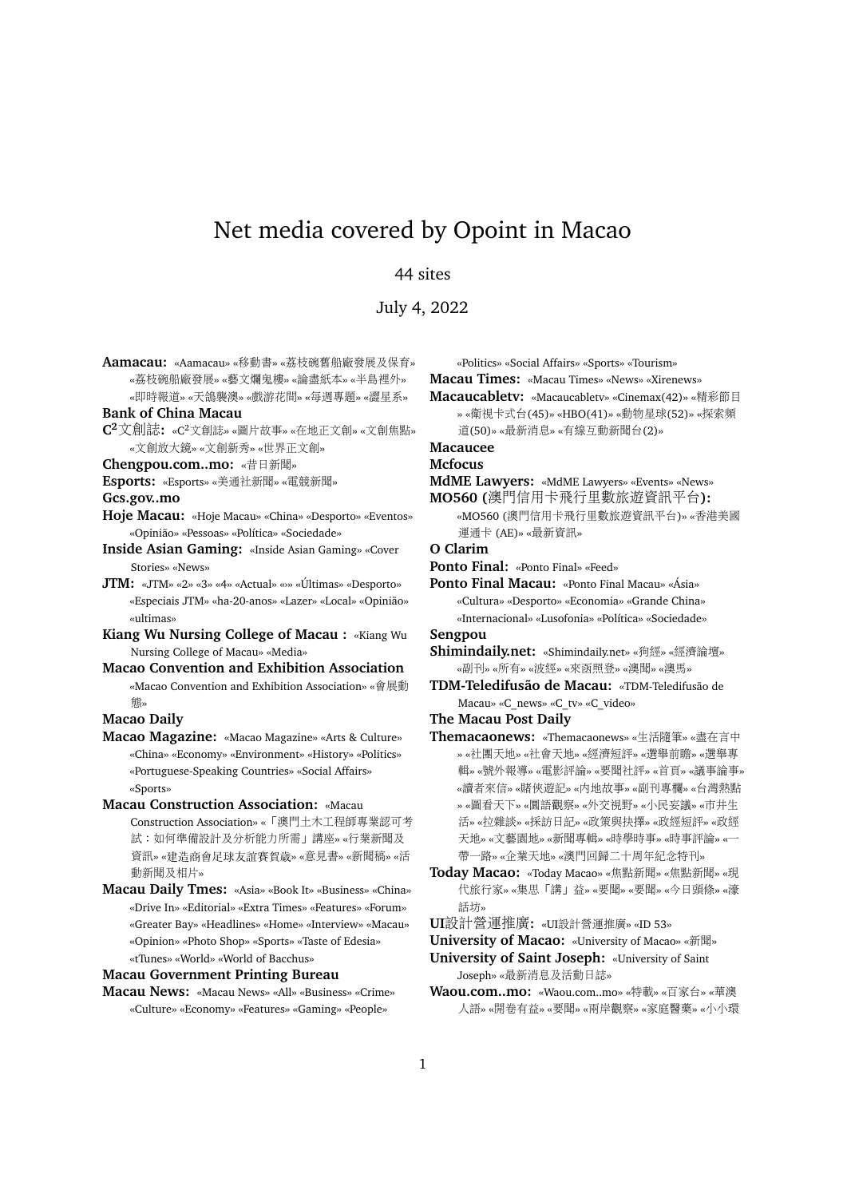# Net media covered by Opoint in Macao

## 44 sites

July 4, 2022

**Aamacau:** «Aamacau» «移動書» «荔枝碗舊船廠發展及保育» «荔枝碗船廠發展» «藝文爛鬼樓» «論盡紙本» «半島裡外» «即時報道» «天鴿襲澳» «戲游花間» «每週專題» «澀星系»

**Bank of China Macau**

**C <sup>2</sup>**文創誌**:** «C2文創誌» «圖片故事» «在地正文創» «文創焦點» «文創放大鏡» «文創新秀» «世界正文創»

**Chengpou.com..mo:** «昔日新聞»

**Esports:** «Esports» «美通社新聞» «電競新聞»

**Gcs.gov..mo**

- **Hoje Macau:** «Hoje Macau» «China» «Desporto» «Eventos» «Opinião» «Pessoas» «Política» «Sociedade»
- **Inside Asian Gaming:** «Inside Asian Gaming» «Cover Stories» «News»
- **JTM:** «JTM» «2» «3» «4» «Actual» «» «Últimas» «Desporto» «Especiais JTM» «ha-20-anos» «Lazer» «Local» «Opinião» «ultimas»
- **Kiang Wu Nursing College of Macau :** «Kiang Wu Nursing College of Macau» «Media»
- **Macao Convention and Exhibition Association** «Macao Convention and Exhibition Association» «會展<sup>動</sup> 態»

#### **Macao Daily**

**Macau Construction Association:** «Macau

- Construction Association» «「澳門土木工程師專業認可考 <sup>試</sup>:如何準備設計及分析能力所需」講座» «行業新聞及 <sup>資</sup>訊» «建造商會足球友誼賽賀歲» «意見書» «新聞稿» «<sup>活</sup> <sup>動</sup>新聞及相片»
- **Macau Daily Tmes:** «Asia» «Book It» «Business» «China» «Drive In» «Editorial» «Extra Times» «Features» «Forum» «Greater Bay» «Headlines» «Home» «Interview» «Macau» «Opinion» «Photo Shop» «Sports» «Taste of Edesia» «tTunes» «World» «World of Bacchus»

**Macau Government Printing Bureau**

**Macau News:** «Macau News» «All» «Business» «Crime» «Culture» «Economy» «Features» «Gaming» «People»

«Politics» «Social Affairs» «Sports» «Tourism»

**Macau Times:** «Macau Times» «News» «Xirenews»

- **Macaucabletv:** «Macaucabletv» «Cinemax(42)» «精彩節目 » «衛視卡式台(45)» «HBO(41)» «動物星球(52)» «探索<sup>頻</sup>
	- <sup>道</sup>(50)» «最新消息» «有線互動新聞台(2)»

## **Macaucee**

**Mcfocus**

**MdME Lawyers:** «MdME Lawyers» «Events» «News»

**MO560 (**澳門信用卡飛行里數旅遊資訊平台**):** «MO560 (澳門信用卡飛行里數旅遊資訊平台)» «香港美<sup>國</sup> 運通卡 (AE)» «最新資訊»

### **O Clarim**

**Ponto Final:** «Ponto Final» «Feed»

**Ponto Final Macau:** «Ponto Final Macau» «Ásia» «Cultura» «Desporto» «Economia» «Grande China» «Internacional» «Lusofonia» «Política» «Sociedade»

**Sengpou**

- **Shimindaily.net:** «Shimindaily.net» «狗經» «經濟論壇» «副刊» «所有» «波經» «來函照登» «澳聞» «澳馬»
- **TDM-Teledifusão de Macau:** «TDM-Teledifusão de Macau» «C\_news» «C\_tv» «C\_video»
- **The Macau Post Daily**
- **Themacaonews:** «Themacaonews» «生活隨筆» «盡在言<sup>中</sup> » «社團天地» «社會天地» «經濟短評» «選舉前瞻» «選舉<sup>專</sup> <sup>輯</sup>» «號外報導» «電影評論» «要聞社評» «首頁» «議事論事» «讀者來信» «賭俠遊記» «內地故事» «副刊專欄» «台灣熱點 » «圖看天下» «圜語觀察» «外交視野» «小民妄議» «市井生 <sup>活</sup>» «拉雜談» «採訪日記» «政策與抉擇» «政經短評» «政<sup>經</sup> 天地» «文藝園地» «新聞專輯» «時學時事» «時事評論» «<sup>一</sup> <sup>帶</sup>一路» «企業天地» «澳門回歸二十周年紀念特刊»
- **Today Macao:** «Today Macao» «焦點新聞» «焦點新聞» «<sup>現</sup> <sup>代</sup>旅行家» «集思「講」益» «要聞» «要聞» «今日頭條» «<sup>濠</sup> 話访。
- **UI**設計營運推廣**:** «UI設計營運推廣» «ID 53»

**University of Macao:** «University of Macao» «新聞»

- **University of Saint Joseph:** «University of Saint Joseph» «最新消息及活動日誌»
- **Waou.com..mo:** «Waou.com..mo» «特載» «百家台» «華<sup>澳</sup> <sup>人</sup>語» «開卷有益» «要聞» «兩岸觀察» «家庭醫藥» «小小環

**Macao Magazine:** «Macao Magazine» «Arts & Culture» «China» «Economy» «Environment» «History» «Politics» «Portuguese-Speaking Countries» «Social Affairs» «Sports»